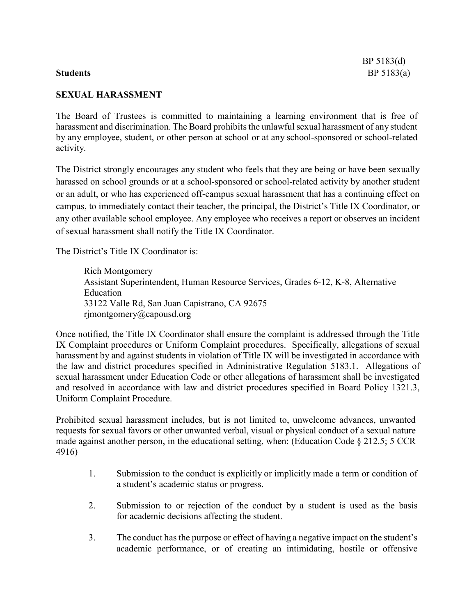# **SEXUAL HARASSMENT**

The Board of Trustees is committed to maintaining a learning environment that is free of harassment and discrimination. The Board prohibits the unlawful sexual harassment of any student by any employee, student, or other person at school or at any school-sponsored or school-related activity.

The District strongly encourages any student who feels that they are being or have been sexually harassed on school grounds or at a school-sponsored or school-related activity by another student or an adult, or who has experienced off-campus sexual harassment that has a continuing effect on campus, to immediately contact their teacher, the principal, the District's Title IX Coordinator, or any other available school employee. Any employee who receives a report or observes an incident of sexual harassment shall notify the Title IX Coordinator.

The District's Title IX Coordinator is:

Rich Montgomery Assistant Superintendent, Human Resource Services, Grades 6-12, K-8, Alternative Education 33122 Valle Rd, San Juan Capistrano, CA 92675 rjmontgomery@capousd.org

Once notified, the Title IX Coordinator shall ensure the complaint is addressed through the Title IX Complaint procedures or Uniform Complaint procedures. Specifically, allegations of sexual harassment by and against students in violation of Title IX will be investigated in accordance with the law and district procedures specified in Administrative Regulation 5183.1. Allegations of sexual harassment under Education Code or other allegations of harassment shall be investigated and resolved in accordance with law and district procedures specified in Board Policy 1321.3, Uniform Complaint Procedure.

Prohibited sexual harassment includes, but is not limited to, unwelcome advances, unwanted requests for sexual favors or other unwanted verbal, visual or physical conduct of a sexual nature made against another person, in the educational setting, when: (Education Code § 212.5; 5 CCR 4916)

- 1. Submission to the conduct is explicitly or implicitly made a term or condition of a student's academic status or progress.
- 2. Submission to or rejection of the conduct by a student is used as the basis for academic decisions affecting the student.
- 3. The conduct has the purpose or effect of having a negative impact on the student's academic performance, or of creating an intimidating, hostile or offensive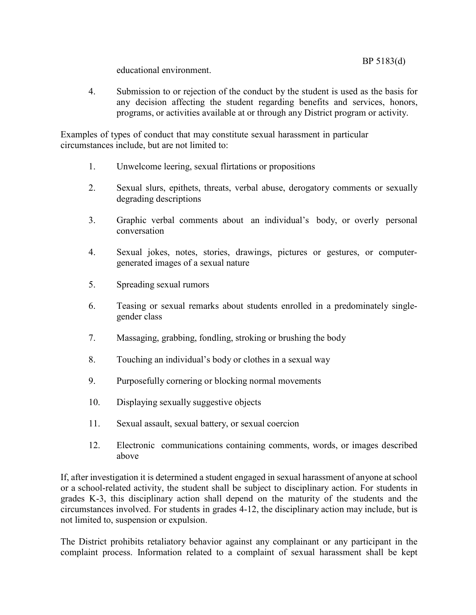BP 5183(d)

educational environment.

4. Submission to or rejection of the conduct by the student is used as the basis for any decision affecting the student regarding benefits and services, honors, programs, or activities available at or through any District program or activity.

Examples of types of conduct that may constitute sexual harassment in particular circumstances include, but are not limited to:

- 1. Unwelcome leering, sexual flirtations or propositions
- 2. Sexual slurs, epithets, threats, verbal abuse, derogatory comments or sexually degrading descriptions
- 3. Graphic verbal comments about an individual's body, or overly personal conversation
- 4. Sexual jokes, notes, stories, drawings, pictures or gestures, or computergenerated images of a sexual nature
- 5. Spreading sexual rumors
- 6. Teasing or sexual remarks about students enrolled in a predominately singlegender class
- 7. Massaging, grabbing, fondling, stroking or brushing the body
- 8. Touching an individual's body or clothes in a sexual way
- 9. Purposefully cornering or blocking normal movements
- 10. Displaying sexually suggestive objects
- 11. Sexual assault, sexual battery, or sexual coercion
- 12. Electronic communications containing comments, words, or images described above

If, after investigation it is determined a student engaged in sexual harassment of anyone atschool or a school-related activity, the student shall be subject to disciplinary action. For students in grades K-3, this disciplinary action shall depend on the maturity of the students and the circumstances involved. For students in grades 4-12, the disciplinary action may include, but is not limited to, suspension or expulsion.

The District prohibits retaliatory behavior against any complainant or any participant in the complaint process. Information related to a complaint of sexual harassment shall be kept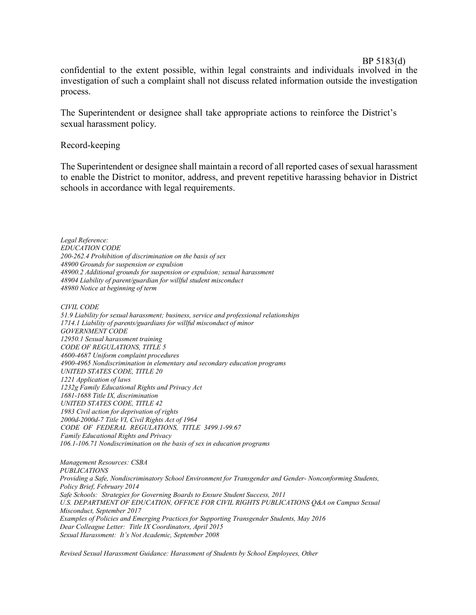### BP 5183(d)

confidential to the extent possible, within legal constraints and individuals involved in the investigation of such a complaint shall not discuss related information outside the investigation process.

The Superintendent or designee shall take appropriate actions to reinforce the District's sexual harassment policy.

## Record-keeping

The Superintendent or designee shall maintain a record of all reported cases of sexual harassment to enable the District to monitor, address, and prevent repetitive harassing behavior in District schools in accordance with legal requirements.

*Legal Reference: EDUCATION CODE 200-262.4 Prohibition of discrimination on the basis of sex 48900 Grounds for suspension or expulsion 48900.2 Additional grounds for suspension or expulsion; sexual harassment 48904 Liability of parent/guardian for willful student misconduct 48980 Notice at beginning of term*

*CIVIL CODE*

*51.9 Liability for sexual harassment; business, service and professional relationships 1714.1 Liability of parents/guardians for willful misconduct of minor GOVERNMENT CODE 12950.1 Sexual harassment training CODE OF REGULATIONS, TITLE 5 4600-4687 Uniform complaint procedures 4900-4965 Nondiscrimination in elementary and secondary education programs UNITED STATES CODE, TITLE 20 1221 Application of laws 1232g Family Educational Rights and Privacy Act 1681-1688 Title IX, discrimination UNITED STATES CODE, TITLE 42 1983 Civil action for deprivation of rights 2000d-2000d-7 Title VI, Civil Rights Act of 1964 CODE OF FEDERAL REGULATIONS, TITLE 3499.1-99.67 Family Educational Rights and Privacy 106.1-106.71 Nondiscrimination on the basis of sex in education programs*

*Management Resources: CSBA PUBLICATIONS Providing a Safe, Nondiscriminatory School Environment for Transgender and Gender- Nonconforming Students, Policy Brief, February 2014 Safe Schools: Strategies for Governing Boards to Ensure Student Success, 2011 U.S. DEPARTMENT OF EDUCATION, OFFICE FOR CIVIL RIGHTS PUBLICATIONS Q&A on Campus Sexual Misconduct, September 2017 Examples of Policies and Emerging Practices for Supporting Transgender Students, May 2016 Dear Colleague Letter: Title IX Coordinators, April 2015 Sexual Harassment: It's Not Academic, September 2008*

*Revised Sexual Harassment Guidance: Harassment of Students by School Employees, Other*